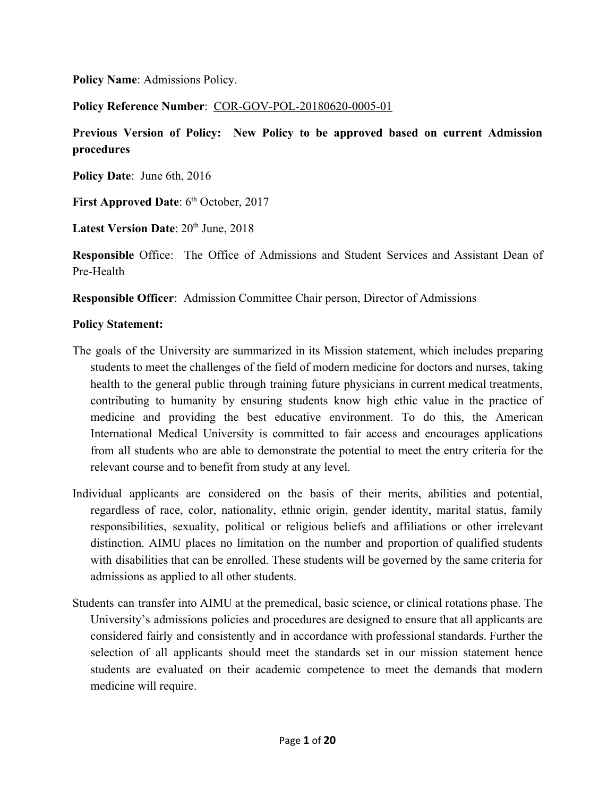**Policy Name**: Admissions Policy.

**Policy Reference Number**: COR-GOV-POL-20180620-0005-01

**Previous Version of Policy: New Policy to be approved based on current Admission procedures**

**Policy Date**: June 6th, 2016

**First Approved Date**: 6<sup>th</sup> October, 2017

**Latest Version Date**:  $20<sup>th</sup>$  June,  $2018$ 

**Responsible** Office: The Office of Admissions and Student Services and Assistant Dean of Pre-Health

**Responsible Officer**: Admission Committee Chair person, Director of Admissions

#### **Policy Statement:**

- The goals of the University are summarized in its Mission statement, which includes preparing students to meet the challenges of the field of modern medicine for doctors and nurses, taking health to the general public through training future physicians in current medical treatments, contributing to humanity by ensuring students know high ethic value in the practice of medicine and providing the best educative environment. To do this, the American International Medical University is committed to fair access and encourages applications from all students who are able to demonstrate the potential to meet the entry criteria for the relevant course and to benefit from study at any level.
- Individual applicants are considered on the basis of their merits, abilities and potential, regardless of race, color, nationality, ethnic origin, gender identity, marital status, family responsibilities, sexuality, political or religious beliefs and affiliations or other irrelevant distinction. AIMU places no limitation on the number and proportion of qualified students with disabilities that can be enrolled. These students will be governed by the same criteria for admissions as applied to all other students.
- Students can transfer into AIMU at the premedical, basic science, or clinical rotations phase. The University's admissions policies and procedures are designed to ensure that all applicants are considered fairly and consistently and in accordance with professional standards. Further the selection of all applicants should meet the standards set in our mission statement hence students are evaluated on their academic competence to meet the demands that modern medicine will require.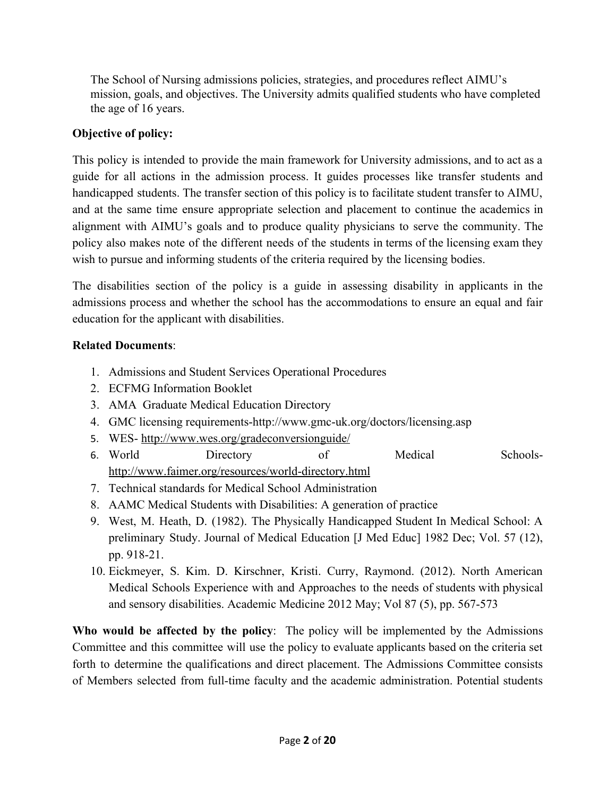The School of Nursing admissions policies, strategies, and procedures reflect AIMU's mission, goals, and objectives. The University admits qualified students who have completed the age of 16 years.

## **Objective of policy:**

This policy is intended to provide the main framework for University admissions, and to act as a guide for all actions in the admission process. It guides processes like transfer students and handicapped students. The transfer section of this policy is to facilitate student transfer to AIMU, and at the same time ensure appropriate selection and placement to continue the academics in alignment with AIMU's goals and to produce quality physicians to serve the community. The policy also makes note of the different needs of the students in terms of the licensing exam they wish to pursue and informing students of the criteria required by the licensing bodies.

The disabilities section of the policy is a guide in assessing disability in applicants in the admissions process and whether the school has the accommodations to ensure an equal and fair education for the applicant with disabilities.

## **Related Documents**:

- 1. Admissions and Student Services Operational Procedures
- 2. ECFMG Information Booklet
- 3. AMA Graduate Medical Education Directory
- 4. GMC licensing requirements-http://www.gmc-uk.org/doctors/licensing.asp
- 5. WES-<http://www.wes.org/gradeconversionguide/>
- 6. World Directory of Medical Schools<http://www.faimer.org/resources/world-directory.html>
- 7. Technical standards for Medical School Administration
- 8. AAMC Medical Students with Disabilities: A generation of practice
- 9. West, M. Heath, D. (1982). The Physically Handicapped Student In Medical School: A preliminary Study. Journal of Medical Education [J Med Educ] 1982 Dec; Vol. 57 (12), pp. 918-21.
- 10. Eickmeyer, S. Kim. D. Kirschner, Kristi. Curry, Raymond. (2012). North American Medical Schools Experience with and Approaches to the needs of students with physical and sensory disabilities. Academic Medicine 2012 May; Vol 87 (5), pp. 567-573

**Who would be affected by the policy**: The policy will be implemented by the Admissions Committee and this committee will use the policy to evaluate applicants based on the criteria set forth to determine the qualifications and direct placement. The Admissions Committee consists of Members selected from full-time faculty and the academic administration. Potential students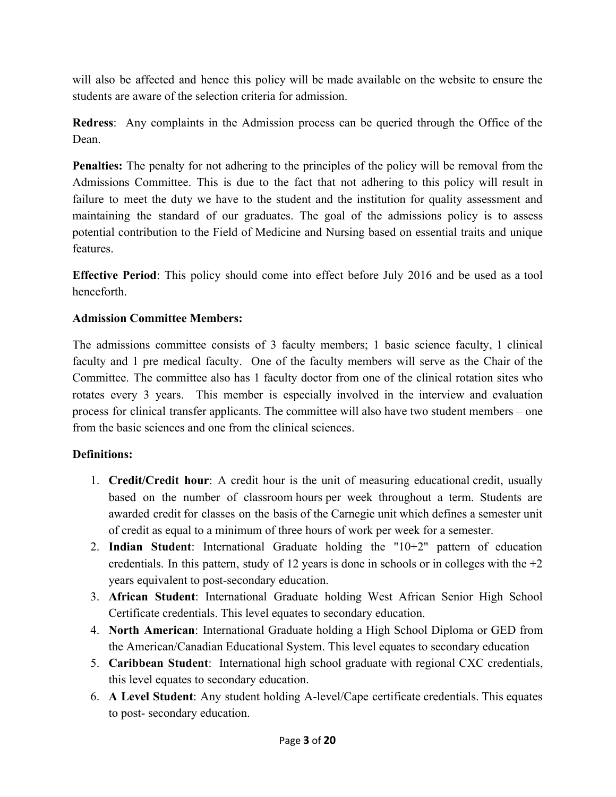will also be affected and hence this policy will be made available on the website to ensure the students are aware of the selection criteria for admission.

**Redress**: Any complaints in the Admission process can be queried through the Office of the Dean.

**Penalties:** The penalty for not adhering to the principles of the policy will be removal from the Admissions Committee. This is due to the fact that not adhering to this policy will result in failure to meet the duty we have to the student and the institution for quality assessment and maintaining the standard of our graduates. The goal of the admissions policy is to assess potential contribution to the Field of Medicine and Nursing based on essential traits and unique features.

**Effective Period**: This policy should come into effect before July 2016 and be used as a tool henceforth.

## **Admission Committee Members:**

The admissions committee consists of 3 faculty members; 1 basic science faculty, 1 clinical faculty and 1 pre medical faculty. One of the faculty members will serve as the Chair of the Committee. The committee also has 1 faculty doctor from one of the clinical rotation sites who rotates every 3 years. This member is especially involved in the interview and evaluation process for clinical transfer applicants. The committee will also have two student members – one from the basic sciences and one from the clinical sciences.

## **Definitions:**

- 1. **Credit/Credit hour**: A credit hour is the unit of measuring educational credit, usually based on the number of classroom hours per week throughout a term. Students are awarded credit for classes on the basis of the Carnegie unit which defines a semester unit of credit as equal to a minimum of three hours of work per week for a semester.
- 2. **Indian Student**: International Graduate holding the "10+2" pattern of education credentials. In this pattern, study of 12 years is done in schools or in colleges with the  $+2$ years equivalent to post-secondary education.
- 3. **African Student**: International Graduate holding West African Senior High School Certificate credentials. This level equates to secondary education.
- 4. **North American**: International Graduate holding a High School Diploma or GED from the American/Canadian Educational System. This level equates to secondary education
- 5. **Caribbean Student**: International high school graduate with regional CXC credentials, this level equates to secondary education.
- 6. **A Level Student**: Any student holding A-level/Cape certificate credentials. This equates to post- secondary education.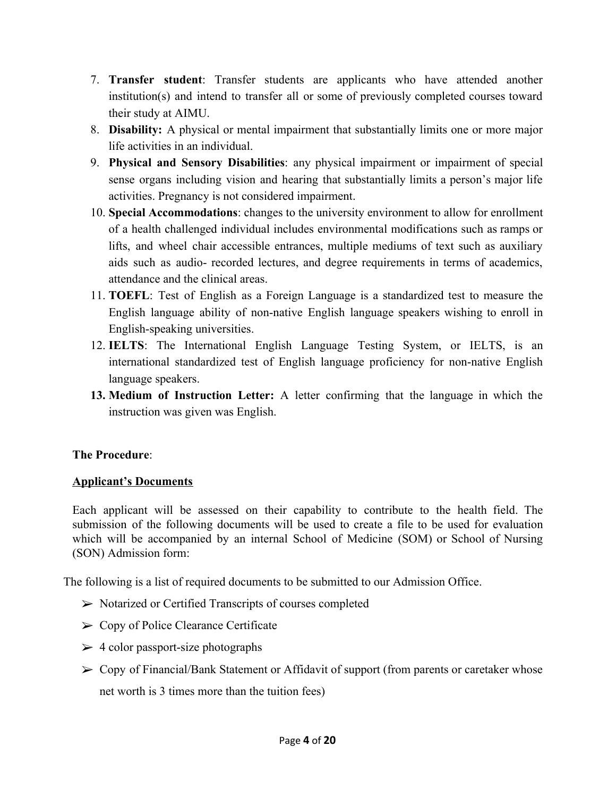- 7. **Transfer student**: Transfer students are applicants who have attended another institution(s) and intend to transfer all or some of previously completed courses toward their study at AIMU.
- 8. **Disability:** A physical or mental impairment that substantially limits one or more major life activities in an individual.
- 9. **Physical and Sensory Disabilities**: any physical impairment or impairment of special sense organs including vision and hearing that substantially limits a person's major life activities. Pregnancy is not considered impairment.
- 10. **Special Accommodations**: changes to the university environment to allow for enrollment of a health challenged individual includes environmental modifications such as ramps or lifts, and wheel chair accessible entrances, multiple mediums of text such as auxiliary aids such as audio- recorded lectures, and degree requirements in terms of academics, attendance and the clinical areas.
- 11. **TOEFL**: Test of English as a Foreign Language is a standardized test to measure the English language ability of non-native English language speakers wishing to enroll in English-speaking universities.
- 12. **IELTS**: The International English Language Testing System, or IELTS, is an international standardized test of English language proficiency for non-native English language speakers.
- **13. Medium of Instruction Letter:** A letter confirming that the language in which the instruction was given was English.

## **The Procedure**:

## **Applicant's Documents**

Each applicant will be assessed on their capability to contribute to the health field. The submission of the following documents will be used to create a file to be used for evaluation which will be accompanied by an internal School of Medicine (SOM) or School of Nursing (SON) Admission form:

The following is a list of required documents to be submitted to our Admission Office.

- ➢ Notarized or Certified Transcripts of courses completed
- ➢ Copy of Police Clearance Certificate
- $\geq 4$  color passport-size photographs
- ➢ Copy of Financial/Bank Statement or Affidavit of support (from parents or caretaker whose net worth is 3 times more than the tuition fees)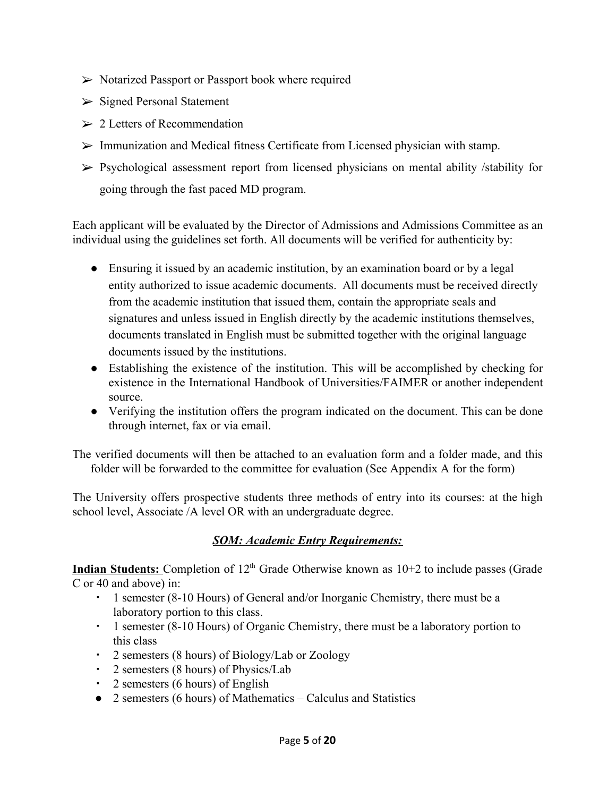- ➢ Notarized Passport or Passport book where required
- ➢ Signed Personal Statement
- $\geq 2$  Letters of Recommendation
- $\triangleright$  Immunization and Medical fitness Certificate from Licensed physician with stamp.
- $\triangleright$  Psychological assessment report from licensed physicians on mental ability /stability for going through the fast paced MD program.

Each applicant will be evaluated by the Director of Admissions and Admissions Committee as an individual using the guidelines set forth. All documents will be verified for authenticity by:

- Ensuring it issued by an academic institution, by an examination board or by a legal entity authorized to issue academic documents. All documents must be received directly from the academic institution that issued them, contain the appropriate seals and signatures and unless issued in English directly by the academic institutions themselves, documents translated in English must be submitted together with the original language documents issued by the institutions.
- Establishing the existence of the institution. This will be accomplished by checking for existence in the International Handbook of Universities/FAIMER or another independent source.
- Verifying the institution offers the program indicated on the document. This can be done through internet, fax or via email.

The verified documents will then be attached to an evaluation form and a folder made, and this folder will be forwarded to the committee for evaluation (See Appendix A for the form)

The University offers prospective students three methods of entry into its courses: at the high school level, Associate /A level OR with an undergraduate degree.

## *SOM: Academic Entry Requirements:*

**Indian Students:** Completion of 12<sup>th</sup> Grade Otherwise known as 10+2 to include passes (Grade C or 40 and above) in:

- 1 semester (8-10 Hours) of General and/or Inorganic Chemistry, there must be a laboratory portion to this class.
- 1 semester (8-10 Hours) of Organic Chemistry, there must be a laboratory portion to this class
- 2 semesters (8 hours) of Biology/Lab or Zoology
- 2 semesters (8 hours) of Physics/Lab
- 2 semesters (6 hours) of English
- 2 semesters (6 hours) of Mathematics Calculus and Statistics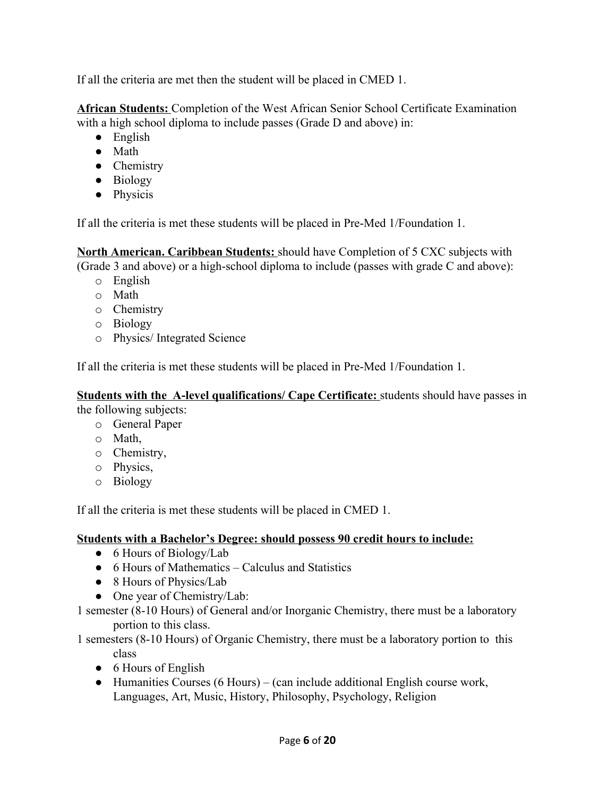If all the criteria are met then the student will be placed in CMED 1.

**African Students:** Completion of the West African Senior School Certificate Examination with a high school diploma to include passes (Grade D and above) in:

- English
- Math
- Chemistry
- Biology
- Physicis

If all the criteria is met these students will be placed in Pre-Med 1/Foundation 1.

**North American. Caribbean Students:** should have Completion of 5 CXC subjects with (Grade 3 and above) or a high-school diploma to include (passes with grade C and above):

- o English
- o Math
- o Chemistry
- o Biology
- o Physics/ Integrated Science

If all the criteria is met these students will be placed in Pre-Med 1/Foundation 1.

**Students with the A-level qualifications/ Cape Certificate:** students should have passes in

the following subjects:

- o General Paper
- o Math,
- o Chemistry,
- o Physics,
- o Biology

If all the criteria is met these students will be placed in CMED 1.

## **Students with a Bachelor's Degree: should possess 90 credit hours to include:**

- 6 Hours of Biology/Lab
- 6 Hours of Mathematics Calculus and Statistics
- 8 Hours of Physics/Lab
- One year of Chemistry/Lab:
- 1 semester (8-10 Hours) of General and/or Inorganic Chemistry, there must be a laboratory portion to this class.

1 semesters (8-10 Hours) of Organic Chemistry, there must be a laboratory portion to this class

- 6 Hours of English
- Humanities Courses (6 Hours) (can include additional English course work, Languages, Art, Music, History, Philosophy, Psychology, Religion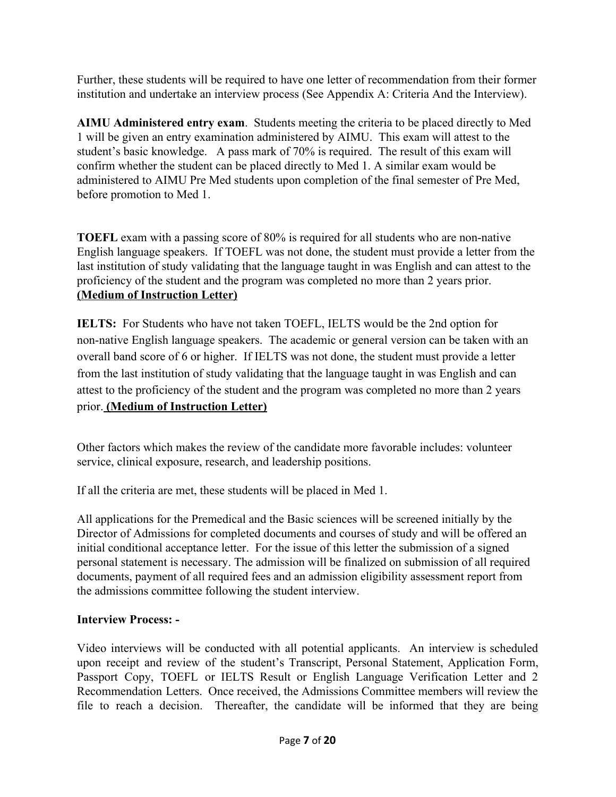Further, these students will be required to have one letter of recommendation from their former institution and undertake an interview process (See Appendix A: Criteria And the Interview).

**AIMU Administered entry exam**. Students meeting the criteria to be placed directly to Med 1 will be given an entry examination administered by AIMU. This exam will attest to the student's basic knowledge. A pass mark of 70% is required. The result of this exam will confirm whether the student can be placed directly to Med 1. A similar exam would be administered to AIMU Pre Med students upon completion of the final semester of Pre Med, before promotion to Med 1.

**TOEFL** exam with a passing score of 80% is required for all students who are non-native English language speakers. If TOEFL was not done, the student must provide a letter from the last institution of study validating that the language taught in was English and can attest to the proficiency of the student and the program was completed no more than 2 years prior. **(Medium of Instruction Letter)**

**IELTS:** For Students who have not taken TOEFL, IELTS would be the 2nd option for non-native English language speakers. The academic or general version can be taken with an overall band score of 6 or higher. If IELTS was not done, the student must provide a letter from the last institution of study validating that the language taught in was English and can attest to the proficiency of the student and the program was completed no more than 2 years prior. **(Medium of Instruction Letter)**

Other factors which makes the review of the candidate more favorable includes: volunteer service, clinical exposure, research, and leadership positions.

If all the criteria are met, these students will be placed in Med 1.

All applications for the Premedical and the Basic sciences will be screened initially by the Director of Admissions for completed documents and courses of study and will be offered an initial conditional acceptance letter. For the issue of this letter the submission of a signed personal statement is necessary. The admission will be finalized on submission of all required documents, payment of all required fees and an admission eligibility assessment report from the admissions committee following the student interview.

## **Interview Process: -**

Video interviews will be conducted with all potential applicants. An interview is scheduled upon receipt and review of the student's Transcript, Personal Statement, Application Form, Passport Copy, TOEFL or IELTS Result or English Language Verification Letter and 2 Recommendation Letters. Once received, the Admissions Committee members will review the file to reach a decision. Thereafter, the candidate will be informed that they are being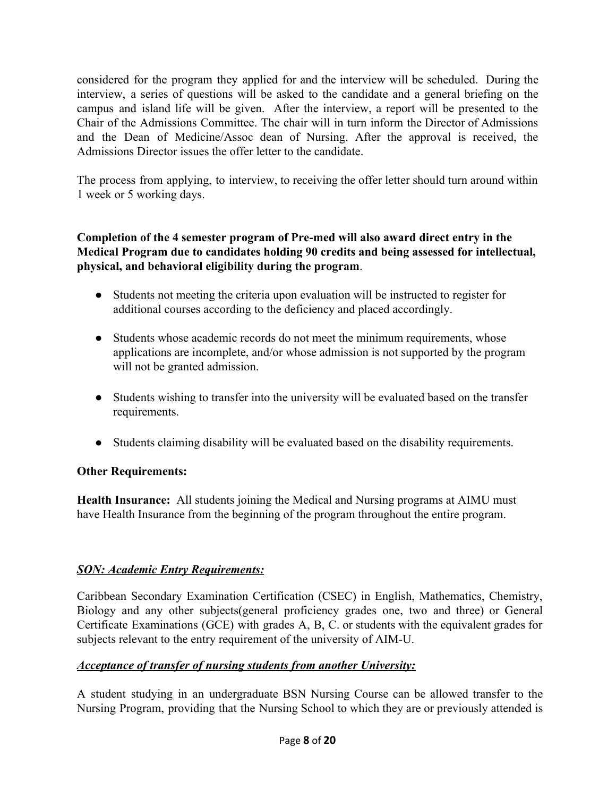considered for the program they applied for and the interview will be scheduled. During the interview, a series of questions will be asked to the candidate and a general briefing on the campus and island life will be given. After the interview, a report will be presented to the Chair of the Admissions Committee. The chair will in turn inform the Director of Admissions and the Dean of Medicine/Assoc dean of Nursing. After the approval is received, the Admissions Director issues the offer letter to the candidate.

The process from applying, to interview, to receiving the offer letter should turn around within 1 week or 5 working days.

### **Completion of the 4 semester program of Pre-med will also award direct entry in the Medical Program due to candidates holding 90 credits and being assessed for intellectual, physical, and behavioral eligibility during the program**.

- Students not meeting the criteria upon evaluation will be instructed to register for additional courses according to the deficiency and placed accordingly.
- Students whose academic records do not meet the minimum requirements, whose applications are incomplete, and/or whose admission is not supported by the program will not be granted admission.
- Students wishing to transfer into the university will be evaluated based on the transfer requirements.
- Students claiming disability will be evaluated based on the disability requirements.

## **Other Requirements:**

**Health Insurance:** All students joining the Medical and Nursing programs at AIMU must have Health Insurance from the beginning of the program throughout the entire program.

## *SON: Academic Entry Requirements:*

Caribbean Secondary Examination Certification (CSEC) in English, Mathematics, Chemistry, Biology and any other subjects(general proficiency grades one, two and three) or General Certificate Examinations (GCE) with grades A, B, C. or students with the equivalent grades for subjects relevant to the entry requirement of the university of AIM-U.

#### *Acceptance of transfer of nursing students from another University:*

A student studying in an undergraduate BSN Nursing Course can be allowed transfer to the Nursing Program, providing that the Nursing School to which they are or previously attended is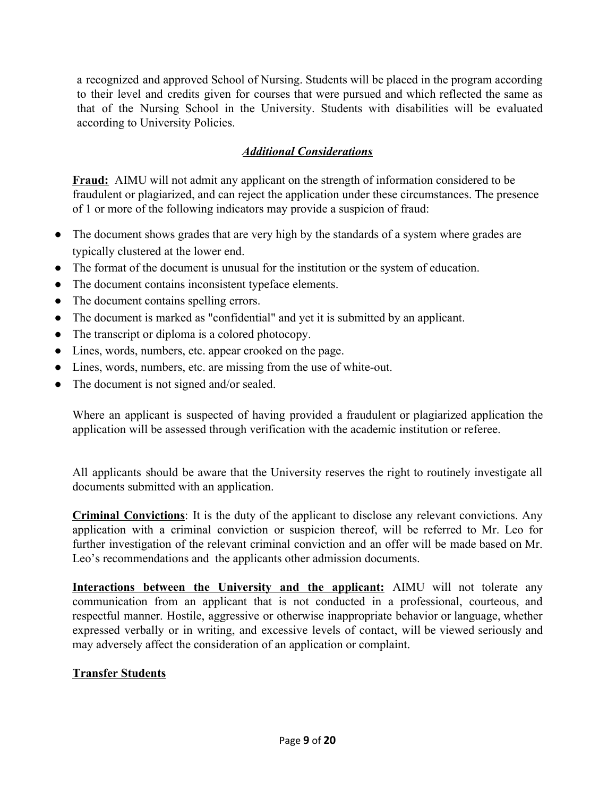a recognized and approved School of Nursing. Students will be placed in the program according to their level and credits given for courses that were pursued and which reflected the same as that of the Nursing School in the University. Students with disabilities will be evaluated according to University Policies.

## *Additional Considerations*

**Fraud:** AIMU will not admit any applicant on the strength of information considered to be fraudulent or plagiarized, and can reject the application under these circumstances. The presence of 1 or more of the following indicators may provide a suspicion of fraud:

- The document shows grades that are very high by the standards of a system where grades are typically clustered at the lower end.
- The format of the document is unusual for the institution or the system of education.
- The document contains inconsistent typeface elements.
- The document contains spelling errors.
- The document is marked as "confidential" and yet it is submitted by an applicant.
- The transcript or diploma is a colored photocopy.
- Lines, words, numbers, etc. appear crooked on the page.
- Lines, words, numbers, etc. are missing from the use of white-out.
- The document is not signed and/or sealed.

Where an applicant is suspected of having provided a fraudulent or plagiarized application the application will be assessed through verification with the academic institution or referee.

All applicants should be aware that the University reserves the right to routinely investigate all documents submitted with an application.

**Criminal Convictions**: It is the duty of the applicant to disclose any relevant convictions. Any application with a criminal conviction or suspicion thereof, will be referred to Mr. Leo for further investigation of the relevant criminal conviction and an offer will be made based on Mr. Leo's recommendations and the applicants other admission documents.

**Interactions between the University and the applicant:** AIMU will not tolerate any communication from an applicant that is not conducted in a professional, courteous, and respectful manner. Hostile, aggressive or otherwise inappropriate behavior or language, whether expressed verbally or in writing, and excessive levels of contact, will be viewed seriously and may adversely affect the consideration of an application or complaint.

## **Transfer Students**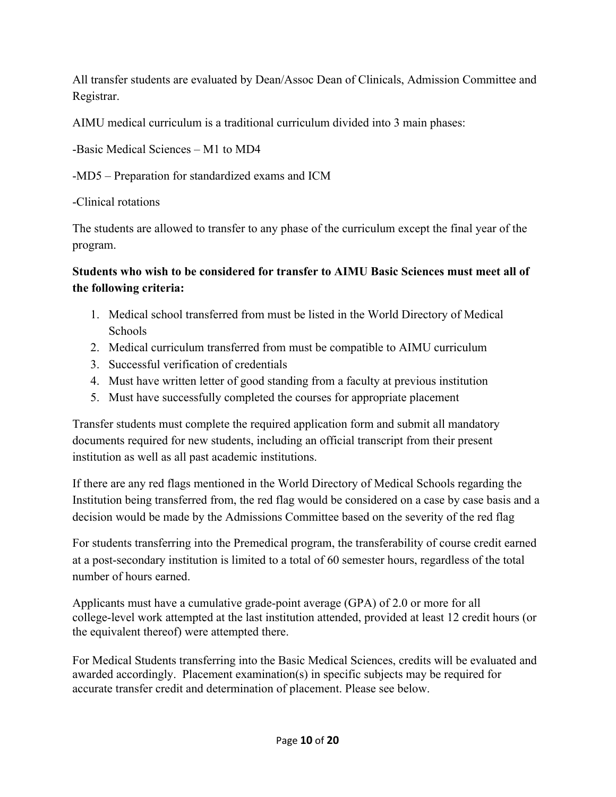All transfer students are evaluated by Dean/Assoc Dean of Clinicals, Admission Committee and Registrar.

AIMU medical curriculum is a traditional curriculum divided into 3 main phases:

-Basic Medical Sciences – M1 to MD4

-MD5 – Preparation for standardized exams and ICM

-Clinical rotations

The students are allowed to transfer to any phase of the curriculum except the final year of the program.

# **Students who wish to be considered for transfer to AIMU Basic Sciences must meet all of the following criteria:**

- 1. Medical school transferred from must be listed in the World Directory of Medical Schools
- 2. Medical curriculum transferred from must be compatible to AIMU curriculum
- 3. Successful verification of credentials
- 4. Must have written letter of good standing from a faculty at previous institution
- 5. Must have successfully completed the courses for appropriate placement

Transfer students must complete the required application form and submit all mandatory documents required for new students, including an official transcript from their present institution as well as all past academic institutions.

If there are any red flags mentioned in the World Directory of Medical Schools regarding the Institution being transferred from, the red flag would be considered on a case by case basis and a decision would be made by the Admissions Committee based on the severity of the red flag

For students transferring into the Premedical program, the transferability of course credit earned at a post-secondary institution is limited to a total of 60 semester hours, regardless of the total number of hours earned.

Applicants must have a cumulative grade-point average (GPA) of 2.0 or more for all college-level work attempted at the last institution attended, provided at least 12 credit hours (or the equivalent thereof) were attempted there.

For Medical Students transferring into the Basic Medical Sciences, credits will be evaluated and awarded accordingly. Placement examination(s) in specific subjects may be required for accurate transfer credit and determination of placement. Please see below.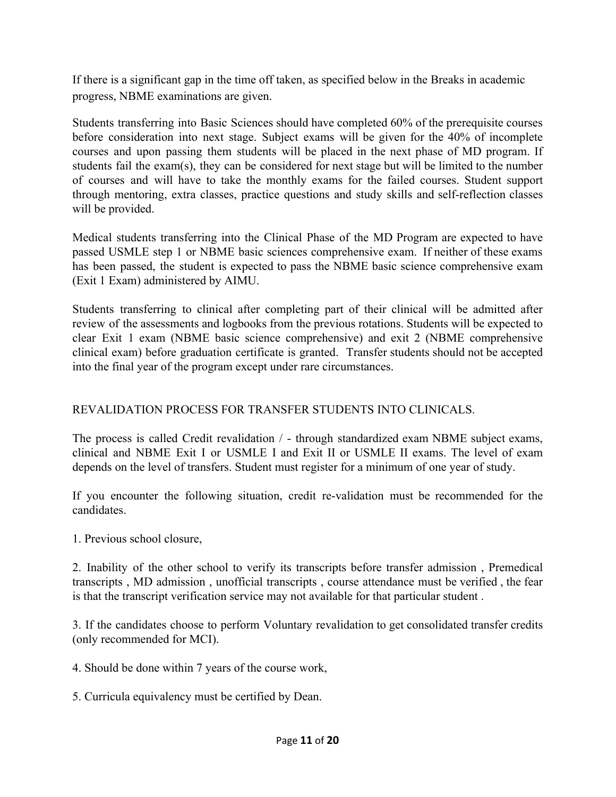If there is a significant gap in the time off taken, as specified below in the Breaks in academic progress, NBME examinations are given.

Students transferring into Basic Sciences should have completed 60% of the prerequisite courses before consideration into next stage. Subject exams will be given for the 40% of incomplete courses and upon passing them students will be placed in the next phase of MD program. If students fail the exam(s), they can be considered for next stage but will be limited to the number of courses and will have to take the monthly exams for the failed courses. Student support through mentoring, extra classes, practice questions and study skills and self-reflection classes will be provided.

Medical students transferring into the Clinical Phase of the MD Program are expected to have passed USMLE step 1 or NBME basic sciences comprehensive exam. If neither of these exams has been passed, the student is expected to pass the NBME basic science comprehensive exam (Exit 1 Exam) administered by AIMU.

Students transferring to clinical after completing part of their clinical will be admitted after review of the assessments and logbooks from the previous rotations. Students will be expected to clear Exit 1 exam (NBME basic science comprehensive) and exit 2 (NBME comprehensive clinical exam) before graduation certificate is granted. Transfer students should not be accepted into the final year of the program except under rare circumstances.

## REVALIDATION PROCESS FOR TRANSFER STUDENTS INTO CLINICALS.

The process is called Credit revalidation / - through standardized exam NBME subject exams, clinical and NBME Exit I or USMLE I and Exit II or USMLE II exams. The level of exam depends on the level of transfers. Student must register for a minimum of one year of study.

If you encounter the following situation, credit re-validation must be recommended for the candidates.

1. Previous school closure,

2. Inability of the other school to verify its transcripts before transfer admission , Premedical transcripts , MD admission , unofficial transcripts , course attendance must be verified , the fear is that the transcript verification service may not available for that particular student .

3. If the candidates choose to perform Voluntary revalidation to get consolidated transfer credits (only recommended for MCI).

4. Should be done within 7 years of the course work,

5. Curricula equivalency must be certified by Dean.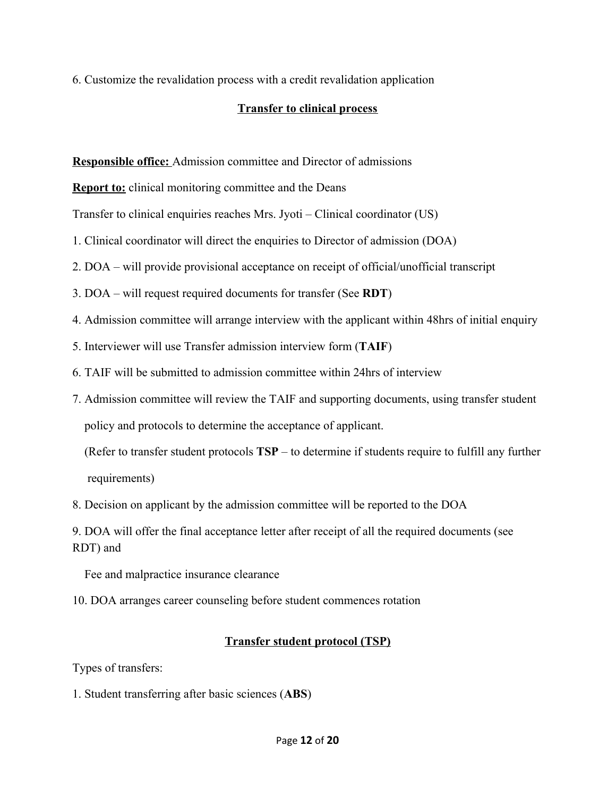6. Customize the revalidation process with a credit revalidation application

### **Transfer to clinical process**

**Responsible office:** Admission committee and Director of admissions

**Report to:** clinical monitoring committee and the Deans

Transfer to clinical enquiries reaches Mrs. Jyoti – Clinical coordinator (US)

- 1. Clinical coordinator will direct the enquiries to Director of admission (DOA)
- 2. DOA will provide provisional acceptance on receipt of official/unofficial transcript
- 3. DOA will request required documents for transfer (See **RDT**)
- 4. Admission committee will arrange interview with the applicant within 48hrs of initial enquiry
- 5. Interviewer will use Transfer admission interview form (**TAIF**)
- 6. TAIF will be submitted to admission committee within 24hrs of interview
- 7. Admission committee will review the TAIF and supporting documents, using transfer student policy and protocols to determine the acceptance of applicant.

 (Refer to transfer student protocols **TSP** – to determine if students require to fulfill any further requirements)

8. Decision on applicant by the admission committee will be reported to the DOA

9. DOA will offer the final acceptance letter after receipt of all the required documents (see RDT) and

Fee and malpractice insurance clearance

10. DOA arranges career counseling before student commences rotation

## **Transfer student protocol (TSP)**

Types of transfers:

1. Student transferring after basic sciences (**ABS**)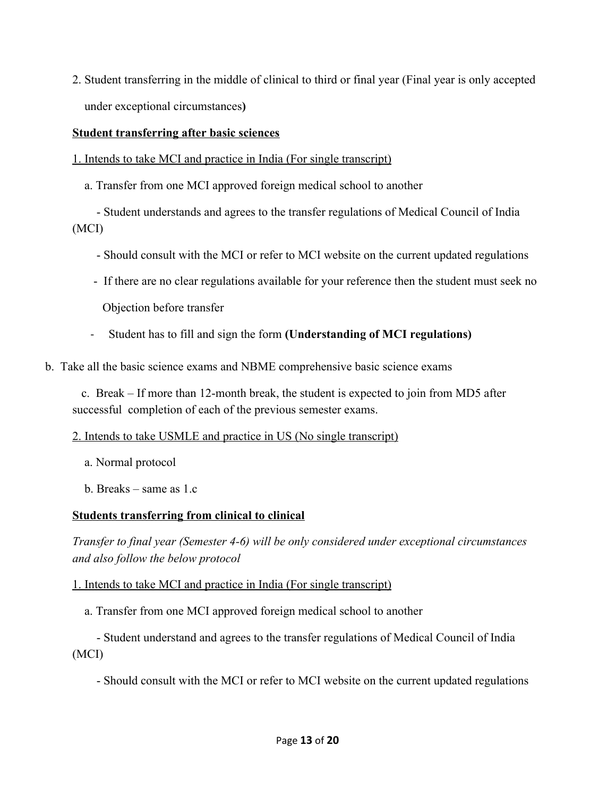2. Student transferring in the middle of clinical to third or final year (Final year is only accepted under exceptional circumstances**)**

#### **Student transferring after basic sciences**

- 1. Intends to take MCI and practice in India (For single transcript)
	- a. Transfer from one MCI approved foreign medical school to another

 - Student understands and agrees to the transfer regulations of Medical Council of India (MCI)

- Should consult with the MCI or refer to MCI website on the current updated regulations
- If there are no clear regulations available for your reference then the student must seek no

Objection before transfer

- Student has to fill and sign the form **(Understanding of MCI regulations)**
- b. Take all the basic science exams and NBME comprehensive basic science exams

 c. Break – If more than 12-month break, the student is expected to join from MD5 after successful completion of each of the previous semester exams.

#### 2. Intends to take USMLE and practice in US (No single transcript)

- a. Normal protocol
- b. Breaks same as 1.c

## **Students transferring from clinical to clinical**

*Transfer to final year (Semester 4-6) will be only considered under exceptional circumstances and also follow the below protocol*

#### 1. Intends to take MCI and practice in India (For single transcript)

a. Transfer from one MCI approved foreign medical school to another

 - Student understand and agrees to the transfer regulations of Medical Council of India (MCI)

- Should consult with the MCI or refer to MCI website on the current updated regulations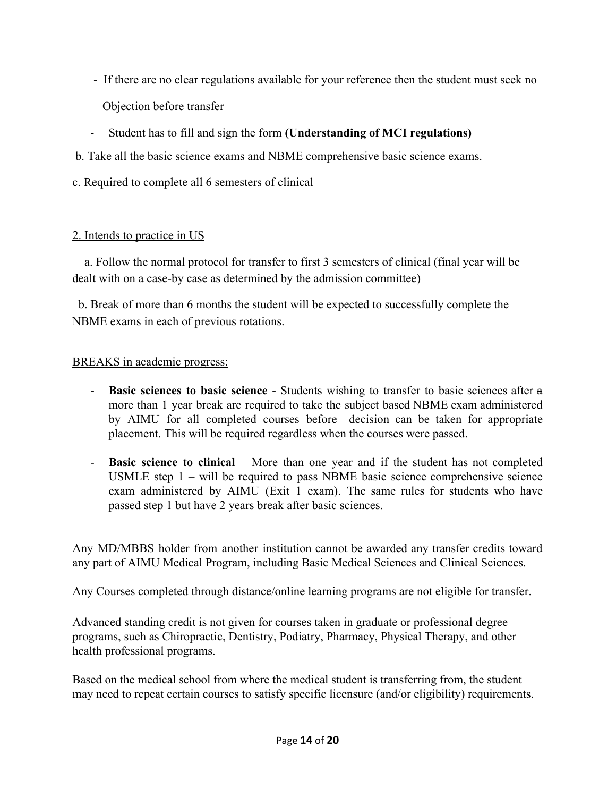- If there are no clear regulations available for your reference then the student must seek no Objection before transfer
- Student has to fill and sign the form **(Understanding of MCI regulations)**
- b. Take all the basic science exams and NBME comprehensive basic science exams.
- c. Required to complete all 6 semesters of clinical

### 2. Intends to practice in US

 a. Follow the normal protocol for transfer to first 3 semesters of clinical (final year will be dealt with on a case-by case as determined by the admission committee)

 b. Break of more than 6 months the student will be expected to successfully complete the NBME exams in each of previous rotations.

### BREAKS in academic progress:

- **Basic sciences to basic science** Students wishing to transfer to basic sciences after a more than 1 year break are required to take the subject based NBME exam administered by AIMU for all completed courses before decision can be taken for appropriate placement. This will be required regardless when the courses were passed.
- **Basic science to clinical** More than one year and if the student has not completed USMLE step 1 – will be required to pass NBME basic science comprehensive science exam administered by AIMU (Exit 1 exam). The same rules for students who have passed step 1 but have 2 years break after basic sciences.

Any MD/MBBS holder from another institution cannot be awarded any transfer credits toward any part of AIMU Medical Program, including Basic Medical Sciences and Clinical Sciences.

Any Courses completed through distance/online learning programs are not eligible for transfer.

Advanced standing credit is not given for courses taken in graduate or professional degree programs, such as Chiropractic, Dentistry, Podiatry, Pharmacy, Physical Therapy, and other health professional programs.

Based on the medical school from where the medical student is transferring from, the student may need to repeat certain courses to satisfy specific licensure (and/or eligibility) requirements.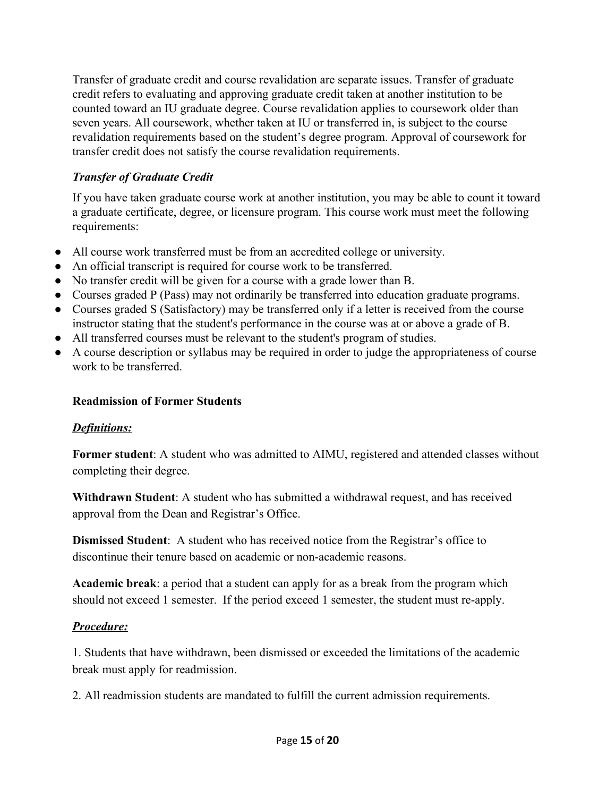Transfer of graduate credit and course revalidation are separate issues. Transfer of graduate credit refers to evaluating and approving graduate credit taken at another institution to be counted toward an IU graduate degree. Course revalidation applies to coursework older than seven years. All coursework, whether taken at IU or transferred in, is subject to the course revalidation requirements based on the student's degree program. Approval of coursework for transfer credit does not satisfy the course revalidation requirements.

## *Transfer of Graduate Credit*

If you have taken graduate course work at another institution, you may be able to count it toward a graduate certificate, degree, or licensure program. This course work must meet the following requirements:

- All course work transferred must be from an accredited college or university.
- An official transcript is required for course work to be transferred.
- No transfer credit will be given for a course with a grade lower than B.
- Courses graded P (Pass) may not ordinarily be transferred into education graduate programs.
- Courses graded S (Satisfactory) may be transferred only if a letter is received from the course instructor stating that the student's performance in the course was at or above a grade of B.
- All transferred courses must be relevant to the student's program of studies.
- A course description or syllabus may be required in order to judge the appropriateness of course work to be transferred.

## **Readmission of Former Students**

## *Definitions:*

Former student: A student who was admitted to AIMU, registered and attended classes without completing their degree.

**Withdrawn Student**: A student who has submitted a withdrawal request, and has received approval from the Dean and Registrar's Office.

**Dismissed Student**: A student who has received notice from the Registrar's office to discontinue their tenure based on academic or non-academic reasons.

**Academic break**: a period that a student can apply for as a break from the program which should not exceed 1 semester. If the period exceed 1 semester, the student must re-apply.

## *Procedure:*

1. Students that have withdrawn, been dismissed or exceeded the limitations of the academic break must apply for readmission.

2. All readmission students are mandated to fulfill the current admission requirements.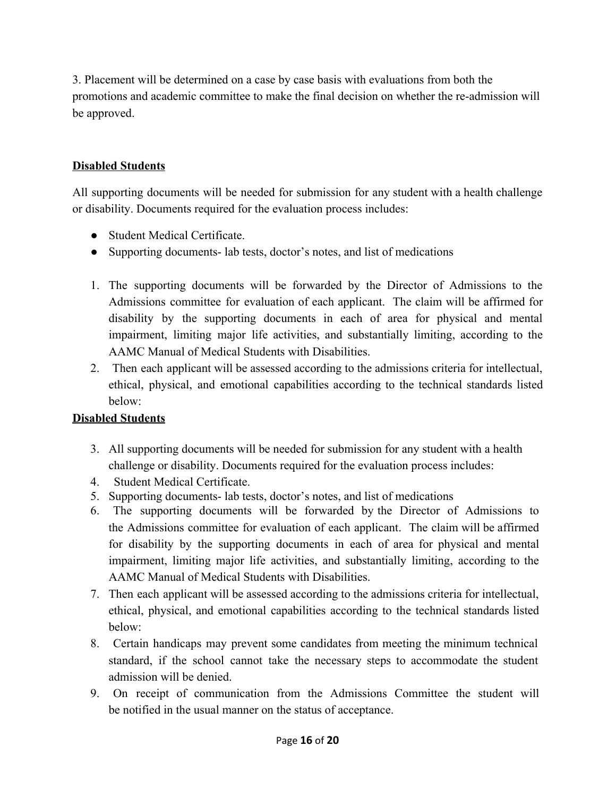3. Placement will be determined on a case by case basis with evaluations from both the promotions and academic committee to make the final decision on whether the re-admission will be approved.

## **Disabled Students**

All supporting documents will be needed for submission for any student with a health challenge or disability. Documents required for the evaluation process includes:

- Student Medical Certificate.
- Supporting documents- lab tests, doctor's notes, and list of medications
- 1. The supporting documents will be forwarded by the Director of Admissions to the Admissions committee for evaluation of each applicant. The claim will be affirmed for disability by the supporting documents in each of area for physical and mental impairment, limiting major life activities, and substantially limiting, according to the AAMC Manual of Medical Students with Disabilities.
- 2. Then each applicant will be assessed according to the admissions criteria for intellectual, ethical, physical, and emotional capabilities according to the technical standards listed below:

## **Disabled Students**

- 3. All supporting documents will be needed for submission for any student with a health challenge or disability. Documents required for the evaluation process includes:
- 4. Student Medical Certificate.
- 5. Supporting documents- lab tests, doctor's notes, and list of medications
- 6. The supporting documents will be forwarded by the Director of Admissions to the Admissions committee for evaluation of each applicant. The claim will be affirmed for disability by the supporting documents in each of area for physical and mental impairment, limiting major life activities, and substantially limiting, according to the AAMC Manual of Medical Students with Disabilities.
- 7. Then each applicant will be assessed according to the admissions criteria for intellectual, ethical, physical, and emotional capabilities according to the technical standards listed below:
- 8. Certain handicaps may prevent some candidates from meeting the minimum technical standard, if the school cannot take the necessary steps to accommodate the student admission will be denied.
- 9. On receipt of communication from the Admissions Committee the student will be notified in the usual manner on the status of acceptance.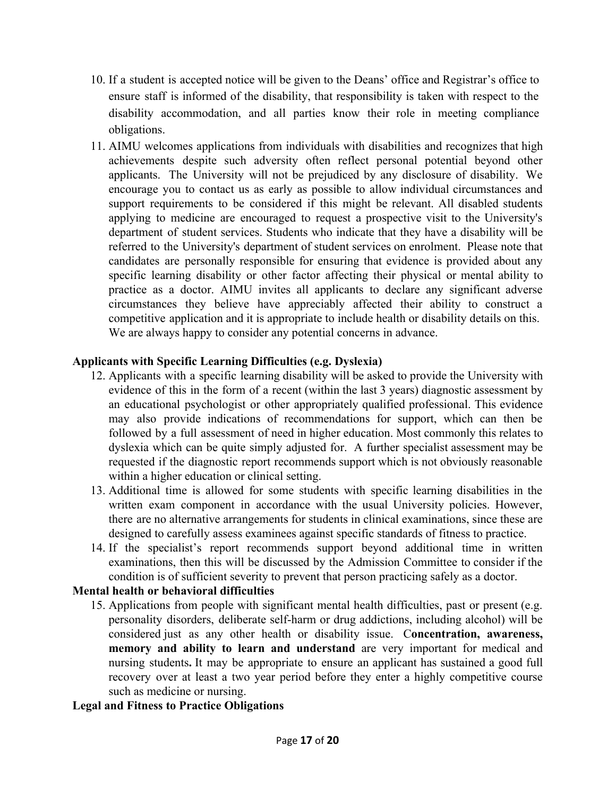- 10. If a student is accepted notice will be given to the Deans' office and Registrar's office to ensure staff is informed of the disability, that responsibility is taken with respect to the disability accommodation, and all parties know their role in meeting compliance obligations.
- 11. AIMU welcomes applications from individuals with disabilities and recognizes that high achievements despite such adversity often reflect personal potential beyond other applicants. The University will not be prejudiced by any disclosure of disability. We encourage you to contact us as early as possible to allow individual circumstances and support requirements to be considered if this might be relevant. All disabled students applying to medicine are encouraged to request a prospective visit to the University's department of student services. Students who indicate that they have a disability will be referred to the University's department of student services on enrolment. Please note that candidates are personally responsible for ensuring that evidence is provided about any specific learning disability or other factor affecting their physical or mental ability to practice as a doctor. AIMU invites all applicants to declare any significant adverse circumstances they believe have appreciably affected their ability to construct a competitive application and it is appropriate to include health or disability details on this. We are always happy to consider any potential concerns in advance.

### **Applicants with Specific Learning Difficulties (e.g. Dyslexia)**

- 12. Applicants with a specific learning disability will be asked to provide the University with evidence of this in the form of a recent (within the last 3 years) diagnostic assessment by an educational psychologist or other appropriately qualified professional. This evidence may also provide indications of recommendations for support, which can then be followed by a full assessment of need in higher education. Most commonly this relates to dyslexia which can be quite simply adjusted for. A further specialist assessment may be requested if the diagnostic report recommends support which is not obviously reasonable within a higher education or clinical setting.
- 13. Additional time is allowed for some students with specific learning disabilities in the written exam component in accordance with the usual University policies. However, there are no alternative arrangements for students in clinical examinations, since these are designed to carefully assess examinees against specific standards of fitness to practice.
- 14. If the specialist's report recommends support beyond additional time in written examinations, then this will be discussed by the Admission Committee to consider if the condition is of sufficient severity to prevent that person practicing safely as a doctor.

## **Mental health or behavioral difficulties**

15. Applications from people with significant mental health difficulties, past or present (e.g. personality disorders, deliberate self-harm or drug addictions, including alcohol) will be considered just as any other health or disability issue. C**oncentration, awareness, memory and ability to learn and understand** are very important for medical and nursing students**.** It may be appropriate to ensure an applicant has sustained a good full recovery over at least a two year period before they enter a highly competitive course such as medicine or nursing.

## **Legal and Fitness to Practice Obligations**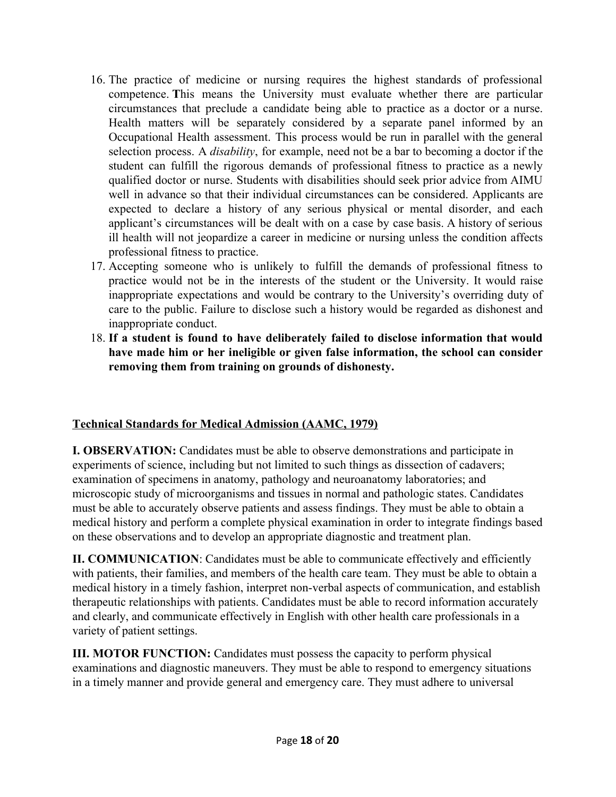- 16. The practice of medicine or nursing requires the highest standards of professional competence. **T**his means the University must evaluate whether there are particular circumstances that preclude a candidate being able to practice as a doctor or a nurse. Health matters will be separately considered by a separate panel informed by an Occupational Health assessment. This process would be run in parallel with the general selection process. A *disability*, for example, need not be a bar to becoming a doctor if the student can fulfill the rigorous demands of professional fitness to practice as a newly qualified doctor or nurse. Students with disabilities should seek prior advice from AIMU well in advance so that their individual circumstances can be considered. Applicants are expected to declare a history of any serious physical or mental disorder, and each applicant's circumstances will be dealt with on a case by case basis. A history of serious ill health will not jeopardize a career in medicine or nursing unless the condition affects professional fitness to practice.
- 17. Accepting someone who is unlikely to fulfill the demands of professional fitness to practice would not be in the interests of the student or the University. It would raise inappropriate expectations and would be contrary to the University's overriding duty of care to the public. Failure to disclose such a history would be regarded as dishonest and inappropriate conduct.
- 18. **If a student is found to have deliberately failed to disclose information that would have made him or her ineligible or given false information, the school can consider removing them from training on grounds of dishonesty.**

## **Technical Standards for Medical Admission (AAMC, 1979)**

**I. OBSERVATION:** Candidates must be able to observe demonstrations and participate in experiments of science, including but not limited to such things as dissection of cadavers; examination of specimens in anatomy, pathology and neuroanatomy laboratories; and microscopic study of microorganisms and tissues in normal and pathologic states. Candidates must be able to accurately observe patients and assess findings. They must be able to obtain a medical history and perform a complete physical examination in order to integrate findings based on these observations and to develop an appropriate diagnostic and treatment plan.

**II. COMMUNICATION:** Candidates must be able to communicate effectively and efficiently with patients, their families, and members of the health care team. They must be able to obtain a medical history in a timely fashion, interpret non-verbal aspects of communication, and establish therapeutic relationships with patients. Candidates must be able to record information accurately and clearly, and communicate effectively in English with other health care professionals in a variety of patient settings.

**III. MOTOR FUNCTION:** Candidates must possess the capacity to perform physical examinations and diagnostic maneuvers. They must be able to respond to emergency situations in a timely manner and provide general and emergency care. They must adhere to universal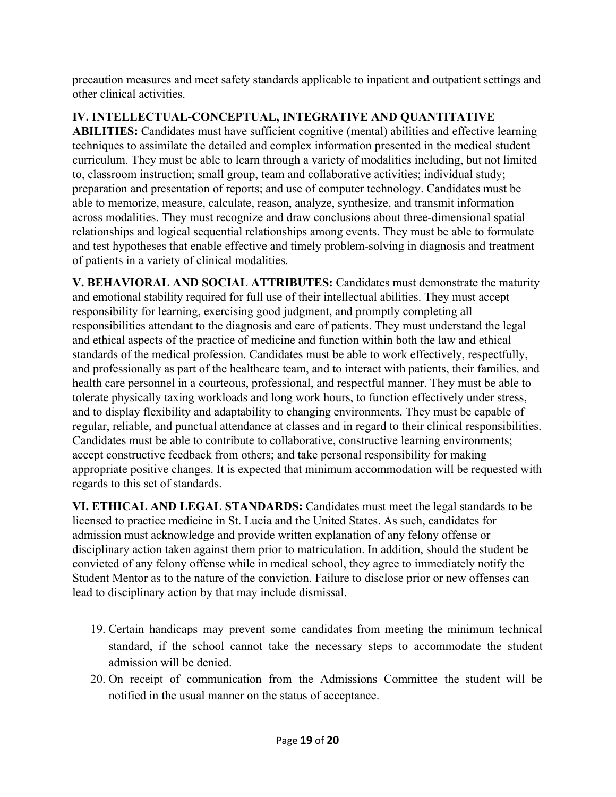precaution measures and meet safety standards applicable to inpatient and outpatient settings and other clinical activities.

# **IV. INTELLECTUAL-CONCEPTUAL, INTEGRATIVE AND QUANTITATIVE**

**ABILITIES:** Candidates must have sufficient cognitive (mental) abilities and effective learning techniques to assimilate the detailed and complex information presented in the medical student curriculum. They must be able to learn through a variety of modalities including, but not limited to, classroom instruction; small group, team and collaborative activities; individual study; preparation and presentation of reports; and use of computer technology. Candidates must be able to memorize, measure, calculate, reason, analyze, synthesize, and transmit information across modalities. They must recognize and draw conclusions about three-dimensional spatial relationships and logical sequential relationships among events. They must be able to formulate and test hypotheses that enable effective and timely problem-solving in diagnosis and treatment of patients in a variety of clinical modalities.

**V. BEHAVIORAL AND SOCIAL ATTRIBUTES:** Candidates must demonstrate the maturity and emotional stability required for full use of their intellectual abilities. They must accept responsibility for learning, exercising good judgment, and promptly completing all responsibilities attendant to the diagnosis and care of patients. They must understand the legal and ethical aspects of the practice of medicine and function within both the law and ethical standards of the medical profession. Candidates must be able to work effectively, respectfully, and professionally as part of the healthcare team, and to interact with patients, their families, and health care personnel in a courteous, professional, and respectful manner. They must be able to tolerate physically taxing workloads and long work hours, to function effectively under stress, and to display flexibility and adaptability to changing environments. They must be capable of regular, reliable, and punctual attendance at classes and in regard to their clinical responsibilities. Candidates must be able to contribute to collaborative, constructive learning environments; accept constructive feedback from others; and take personal responsibility for making appropriate positive changes. It is expected that minimum accommodation will be requested with regards to this set of standards.

**VI. ETHICAL AND LEGAL STANDARDS:** Candidates must meet the legal standards to be licensed to practice medicine in St. Lucia and the United States. As such, candidates for admission must acknowledge and provide written explanation of any felony offense or disciplinary action taken against them prior to matriculation. In addition, should the student be convicted of any felony offense while in medical school, they agree to immediately notify the Student Mentor as to the nature of the conviction. Failure to disclose prior or new offenses can lead to disciplinary action by that may include dismissal.

- 19. Certain handicaps may prevent some candidates from meeting the minimum technical standard, if the school cannot take the necessary steps to accommodate the student admission will be denied.
- 20. On receipt of communication from the Admissions Committee the student will be notified in the usual manner on the status of acceptance.